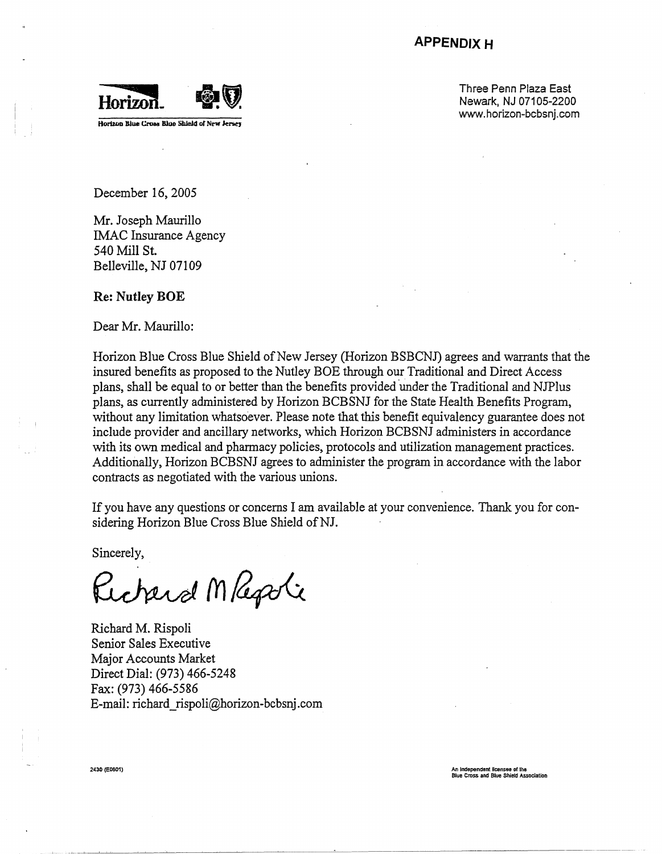# **APPENDIX H**



Three Penn Plaza East Newark, NJ 07105-2200 www.horizon-bcbsnj.com

December 16, 2005

Mr. Joseph Maurillo IMAC Insurance Agency 540 Mill St Belleville, NJ 07109

### **Re: Nutley BOE**

Dear Mr. Maurillo:

Horizon Blue Cross Blue Shield of New Jersey (Horizon BSBCNJ) agrees and warrants that the insured benefits as proposed to the Nutley BOE through our Traditional and Direct Access plans, shall be equal to or better than the benefits provided under the Traditional and NJPlus plans, as currently administered by Horizon BCBSNJ for the State Health Benefits Program, without any limitation whatsoever. Please note that this benefit equivalency guarantee does not include provider and ancillary networks, which Horizon BCBSNJ administers in accordance with its own medical and pharmacy policies, protocols and utilization management practices. Additionally, Horizon BCBSNJ agrees to administer the program in accordance with the labor contracts as negotiated with the various unions.

If you have any questions or concerns I am available at your convenience. Thank you for considering Horizon Blue Cross Blue Shield of NJ.

Sincerely,

Richard Magati

Richard M. Rispoli Senior Sales Executive Major Accounts Market Direct Dial: (973) 466-5248 Fax: (973) 466-5586 E-mail: richard \_ rispoli@horizon-bcbsnj.com

2430 (e0601) An **lndopendlllll** ficensee **DI lhe**  Blue Cross **and** Blue Shield Association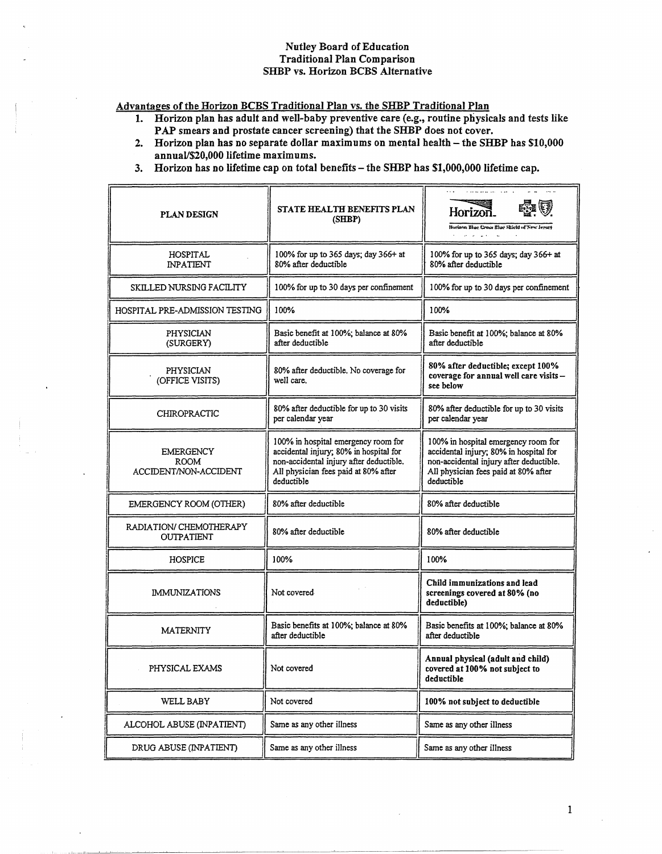### **Nutley Board of Education Traditional Plan Comparison** SHBP vs. Horizon BCBS Alternative

Advantages of the Horizon BCBS Traditional Plan vs. the SHBP Traditional Plan

- 1. Horizon plan has adult and well-baby preventive care (e.g., routine physicals and tests like PAP smears and prostate cancer screening) that the SHBP does not cover.
- 2. Horizon plan has no separate dollar maximums on mental health the SHBP has \$10,000 annual/\$20,000 lifetime maximums.
- 3. Horizon has no lifetime cap on total benefits the SHBP has \$1,000,000 lifetime cap.

| <b>PLAN DESIGN</b>                                       | <b>STATE HEALTH BENEFITS PLAN</b><br>(SHBP)                                                                                                                                    | Horizon.<br>Horizon Blue Cross Blue Skield of New Jersey                                                                                                                       |
|----------------------------------------------------------|--------------------------------------------------------------------------------------------------------------------------------------------------------------------------------|--------------------------------------------------------------------------------------------------------------------------------------------------------------------------------|
| <b>HOSPITAL</b><br><b>INPATIENT</b>                      | 100% for up to 365 days; day 366+ at<br>80% after deductible                                                                                                                   | 100% for up to 365 days; day 366+ at<br>80% after deductible                                                                                                                   |
| <b>SKILLED NURSING FACILITY</b>                          | 100% for up to 30 days per confinement                                                                                                                                         | 100% for up to 30 days per confinement                                                                                                                                         |
| HOSPITAL PRE-ADMISSION TESTING                           | 100%                                                                                                                                                                           | 100%                                                                                                                                                                           |
| PHYSICIAN<br>(SURGERY)                                   | Basic benefit at 100%; balance at 80%<br>after deductible                                                                                                                      | Basic benefit at 100%; balance at 80%<br>after deductible                                                                                                                      |
| PHYSICIAN<br>(OFFICE VISITS)                             | 80% after deductible. No coverage for<br>well care.                                                                                                                            | 80% after deductible; except 100%<br>coverage for annual well care visits -<br>see below                                                                                       |
| <b>CHIROPRACTIC</b>                                      | 80% after deductible for up to 30 visits<br>per calendar year                                                                                                                  | 80% after deductible for up to 30 visits<br>per calendar year                                                                                                                  |
| <b>EMERGENCY</b><br><b>ROOM</b><br>ACCIDENT/NON-ACCIDENT | 100% in hospital emergency room for<br>accidental injury; 80% in hospital for<br>non-accidental injury after deductible.<br>All physician fees paid at 80% after<br>deductible | 100% in hospital emergency room for<br>accidental injury; 80% in hospital for<br>non-accidental injury after deductible.<br>All physician fees paid at 80% after<br>deductible |
| EMERGENCY ROOM (OTHER)                                   | 80% after deductible                                                                                                                                                           | 80% after deductible                                                                                                                                                           |
| RADIATION/ CHEMOTHERAPY<br><b>OUTPATIENT</b>             | 80% after deductible                                                                                                                                                           | 80% after deductible                                                                                                                                                           |
| <b>HOSPICE</b>                                           | 100%                                                                                                                                                                           | 100%                                                                                                                                                                           |
| <b>IMMUNIZATIONS</b>                                     | Not covered                                                                                                                                                                    | Child immunizations and lead<br>screenings covered at 80% (no<br>deductible)                                                                                                   |
| <b>MATERNITY</b>                                         | Basic benefits at 100%; balance at 80%<br>after deductible                                                                                                                     | Basic benefits at 100%; balance at 80%<br>after deductible                                                                                                                     |
| PHYSICAL EXAMS                                           | Not covered                                                                                                                                                                    | Annual physical (adult and child)<br>covered at 100% not subject to<br>deductible                                                                                              |
| WELL BABY                                                | Not covered                                                                                                                                                                    | 100% not subject to deductible                                                                                                                                                 |
| ALCOHOL ABUSE (INPATIENT)                                | Same as any other illness                                                                                                                                                      | Same as any other illness                                                                                                                                                      |
| DRUG ABUSE (INPATIENT)                                   | Same as any other illness                                                                                                                                                      | Same as any other illness                                                                                                                                                      |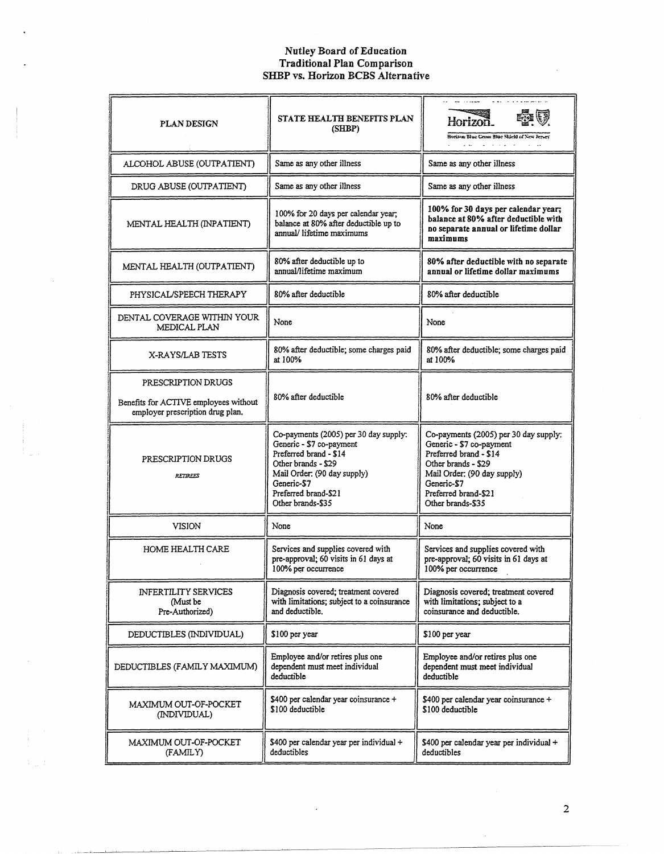# Nutley Board of Education<br>Traditional Plan Comparison<br>SHBP vs. Horizon BCBS Alternative

| <b>PLAN DESIGN</b>                                                                              | STATE HEALTH BENEFITS PLAN<br>(SHBP)                                                                                                                                                                          | Horizon.<br>Horizon Blue Cross Blue Shield of New Jersey<br><b>Contractor</b>                                                                                                                                 |
|-------------------------------------------------------------------------------------------------|---------------------------------------------------------------------------------------------------------------------------------------------------------------------------------------------------------------|---------------------------------------------------------------------------------------------------------------------------------------------------------------------------------------------------------------|
| ALCOHOL ABUSE (OUTPATIENT)                                                                      | Same as any other illness                                                                                                                                                                                     | Same as any other illness                                                                                                                                                                                     |
| DRUG ABUSE (OUTPATIENT)                                                                         | Same as any other illness                                                                                                                                                                                     | Same as any other illness                                                                                                                                                                                     |
| MENTAL HEALTH (INPATIENT)                                                                       | 100% for 20 days per calendar year;<br>balance at 80% after deductible up to<br>annual/ lifetime maximums                                                                                                     | 100% for 30 days per calendar year;<br>balance at 80% after deductible with<br>no separate annual or lifetime dollar<br>maximums                                                                              |
| MENTAL HEALTH (OUTPATIENT)                                                                      | 80% after deductible up to<br>annual/lifetime maximum                                                                                                                                                         | 80% after deductible with no separate<br>annual or lifetime dollar maximums                                                                                                                                   |
| PHYSICAL/SPEECH THERAPY                                                                         | 80% after deductible                                                                                                                                                                                          | 80% after deductible                                                                                                                                                                                          |
| DENTAL COVERAGE WITHIN YOUR<br>MEDICAL PLAN                                                     | None                                                                                                                                                                                                          | None                                                                                                                                                                                                          |
| X-RAYS/LAB TESTS                                                                                | 80% after deductible; some charges paid<br>at 100%                                                                                                                                                            | 80% after deductible; some charges paid<br>at 100%                                                                                                                                                            |
| PRESCRIPTION DRUGS<br>Benefits for ACTIVE employees without<br>employer prescription drug plan. | 80% after deductible                                                                                                                                                                                          | 80% after deductible                                                                                                                                                                                          |
| PRESCRIPTION DRUGS<br><b>RETIREES</b>                                                           | Co-payments (2005) per 30 day supply:<br>Generic - \$7 co-payment<br>Preferred brand - \$14<br>Other brands - \$29<br>Mail Order: (90 day supply)<br>Generic-\$7<br>Preferred brand-\$21<br>Other brands-\$35 | Co-payments (2005) per 30 day supply:<br>Generic - \$7 co-payment<br>Preferred brand - \$14<br>Other brands - \$29<br>Mail Order: (90 day supply)<br>Generic-\$7<br>Preferred brand-\$21<br>Other brands-\$35 |
| VISION                                                                                          | None                                                                                                                                                                                                          | None                                                                                                                                                                                                          |
| HOME HEALTH CARE                                                                                | Services and supplies covered with<br>pre-approval; 60 visits in 61 days at<br>100% per occurrence                                                                                                            | Services and supplies covered with<br>pre-approval; 60 visits in 61 days at<br>100% per occurrence                                                                                                            |
| <b>INFERTILITY SERVICES</b><br>(Must be<br>Pre-Authorized)                                      | Diagnosis covered; treatment covered<br>with limitations; subject to a coinsurance<br>and deductible.                                                                                                         | Diagnosis covered; treatment covered<br>with limitations; subject to a<br>coinsurance and deductible.                                                                                                         |
| DEDUCTIBLES (INDIVIDUAL)                                                                        | \$100 per year                                                                                                                                                                                                | \$100 per year                                                                                                                                                                                                |
| DEDUCTIBLES (FAMILY MAXIMUM)                                                                    | Employee and/or retires plus one<br>dependent must meet individual<br>deductible                                                                                                                              | Employee and/or retires plus one<br>dependent must meet individual<br>deductible                                                                                                                              |
| MAXIMUM OUT-OF-POCKET<br>(INDIVIDUAL)                                                           | \$400 per calendar year coinsurance +<br>\$100 deductible                                                                                                                                                     | \$400 per calendar year coinsurance +<br>\$100 deductible                                                                                                                                                     |
| MAXIMUM OUT-OF-POCKET<br>(FAMILY)                                                               | \$400 per calendar year per individual +<br>deductibles                                                                                                                                                       | \$400 per calendar year per individual +<br>deductibles                                                                                                                                                       |

 $\ddot{\phantom{a}}$ 

 $\mathbb{C}_\mu$  )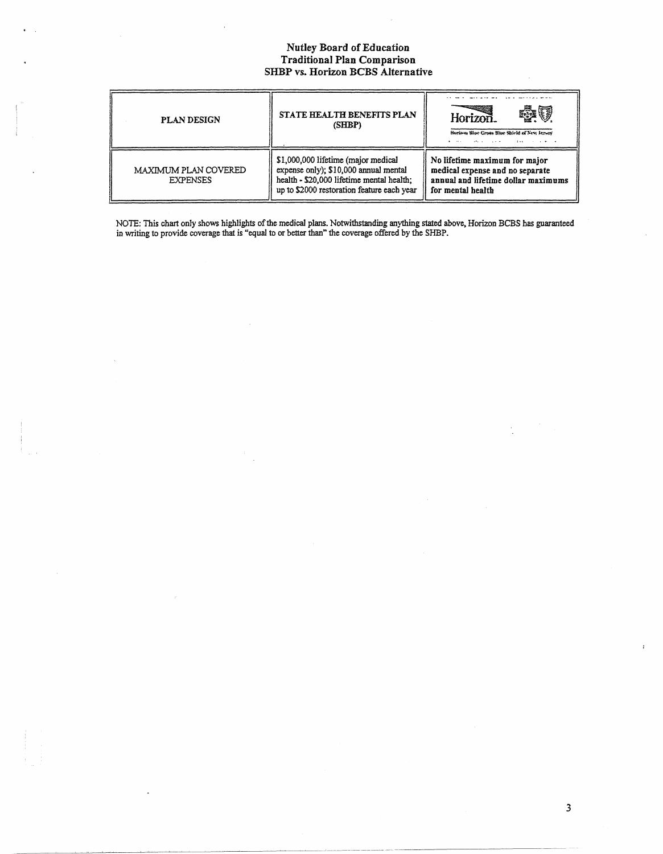# Nutley Board of Education<br>Traditional Plan Comparison<br>SHBP vs. Horizon BCBS Alternative

| <b>PLAN DESIGN</b>                      | STATE HEALTH BENEFITS PLAN<br>(SHBP)                                                                                                                                    | Horizon.<br>Horizon Blue Cross Blue Shield of New Jersey<br>and the company of the com-<br>the state of the state of the state of |
|-----------------------------------------|-------------------------------------------------------------------------------------------------------------------------------------------------------------------------|-----------------------------------------------------------------------------------------------------------------------------------|
| MAXIMUM PLAN COVERED<br><b>EXPENSES</b> | \$1,000,000 lifetime (major medical<br>expense only); \$10,000 annual mental<br>health - \$20,000 lifetime mental health;<br>up to \$2000 restoration feature each year | No lifetime maximum for major<br>medical expense and no separate<br>annual and lifetime dollar maximums<br>for mental health      |

NOTE: This chart only shows highlights of the medical plans. Notwithstanding anything stated above, Horizon BCBS has guaranteed<br>in writing to provide coverage that is "equal to or better than" the coverage offered by the S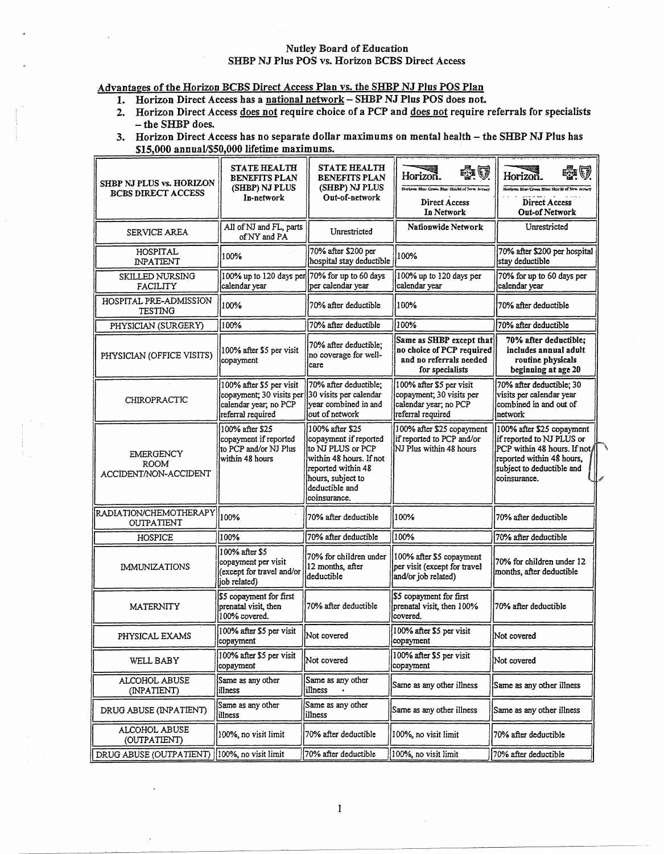#### Nutley Board of Education SHBP NJ Plus POS vs. Horizon BCBS Direct Access

## Advantages of the Horizon BCBS Direct Access Plan vs. the SHBP NJ Plus POS Plan

- 1. Horizon Direct Access has a national network SHBP NJ Plus POS does not.
- 2. Horizon Direct Access does not require choice of a PCP and does not require referrals for specialists  $-$  the SHBP does.
- 3. Horizon Direct Access has no separate dollar maximums on mental health the SHBP NJ Plus has \$15,000 annual/\$50,000 lifetime maximums.

| SHBP NJ PLUS vs. HORIZON<br><b>BCBS DIRECT ACCESS</b> | <b>STATE HEALTH</b><br>BENEFITS PLAN<br>(SHBP) NJ PLUS<br>In-network                               | <b>STATE HEALTH</b><br><b>BENEFITS PLAN</b><br>(SHBP) NJ PLUS<br>Out-of-network                                                                                        | Horizoñ.<br>Horizon Blue Cross She Shield of New Jersey<br>Direct Access<br>In Network              | Horizon.<br>Horizon Blue Cross Blue Shield of New<br>Direct Access<br>Out-of Network                                                                            |
|-------------------------------------------------------|----------------------------------------------------------------------------------------------------|------------------------------------------------------------------------------------------------------------------------------------------------------------------------|-----------------------------------------------------------------------------------------------------|-----------------------------------------------------------------------------------------------------------------------------------------------------------------|
| SERVICE AREA                                          | All of NJ and FL, parts<br>of NY and PA                                                            | Unrestricted                                                                                                                                                           | Nationwide Network                                                                                  | Unrestricted                                                                                                                                                    |
| HOSPITAL<br><b><i>INPATIENT</i></b>                   | 100%                                                                                               | 70% after \$200 per<br>hospital stay deductible                                                                                                                        | 100%                                                                                                | 70% after \$200 per hospital<br>stay deductible                                                                                                                 |
| SKILLED NURSING<br>FACILITY                           | $100\%$ up to 120 days per 70% for up to 60 days<br>calendar year                                  | per calendar year                                                                                                                                                      | 100% up to 120 days per<br>calendar year                                                            | 70% for up to 60 days per<br>calendar vear                                                                                                                      |
| HOSPITAL PRE-ADMISSION<br><b>TESTING</b>              | 100%                                                                                               | 70% after deductible                                                                                                                                                   | 100%                                                                                                | 70% after deductible                                                                                                                                            |
| PHYSICIAN (SURGERY)                                   | 100%                                                                                               | 70% after deductible                                                                                                                                                   | 100%                                                                                                | 70% after deductible                                                                                                                                            |
| PHYSICIAN (OFFICE VISITS)                             | 100% after \$5 per visit<br>copayment                                                              | 70% after deductible;<br>no coverage for well-<br>lcare                                                                                                                | Same as SHBP except that<br>no choice of PCP required<br>and no referrals needed<br>for specialists | 70% after deductible;<br>includes annual adult<br>routine physicals<br>beginning at age 20                                                                      |
| CHIROPRACTIC                                          | 100% after \$5 per visit<br>copayment; 30 visits per<br>calendar year; no PCP<br>referral required | 70% after deductible;<br>30 visits per calendar<br>vear combined in and<br>out of network                                                                              | 100% after \$5 per visit<br>copayment; 30 visits per<br>calendar year; no PCP<br>referral required  | 70% after deductible; 30<br>visits per calendar year<br>combined in and out of<br>network                                                                       |
| EMERGENCY<br><b>ROOM</b><br>ACCIDENT/NON-ACCIDENT     | 100% after \$25<br>copayment if reported<br>to PCP and/or NJ Plus<br>within 48 hours               | 100% after \$25<br>copayment if reported<br>lto NJ PLUS or PCP<br>within 48 hours. If not<br>reported within 48<br>hours, subject to<br>deductible and<br>coinsurance. | 100% after \$25 copayment<br>if reported to PCP and/or<br>NJ Plus within 48 hours                   | 100% after \$25 copayment<br>if reported to NJ PLUS or<br>PCP within 48 hours. If not<br>reported within 48 hours,<br>subject to deductible and<br>coinsurance. |
| RADIATION/CHEMOTHERAPY<br><b>OUTPATIENT</b>           | 100%                                                                                               | 70% after deductible                                                                                                                                                   | 100%                                                                                                | 70% after deductible                                                                                                                                            |
| <b>HOSPICE</b>                                        | 100%                                                                                               | 70% after deductible                                                                                                                                                   | 100%                                                                                                | 70% after deductible                                                                                                                                            |
| <b>IMMUNIZATIONS</b>                                  | 100% after \$5<br>copayment per visit<br>(except for travel and/or<br>job related)                 | 70% for children under<br>12 months, after<br>deductible                                                                                                               | 100% after \$5 copayment<br>per visit (except for travel<br>and/or job related)                     | 70% for children under 12<br>months, after deductible                                                                                                           |
| <b>MATERNITY</b>                                      | \$5 copayment for first<br>prenatal visit, then<br>100% covered.                                   | 70% after deductible                                                                                                                                                   | \$5 copayment for first<br>prenatal visit, then 100%<br>covered.                                    | 70% after deductible                                                                                                                                            |
| PHYSICAL EXAMS                                        | 100% after \$5 per visit<br>copayment                                                              | Not covered                                                                                                                                                            | 100% after \$5 per visit<br>copayment                                                               | Not covered                                                                                                                                                     |
| WELL BABY                                             | 100% after \$5 per visit<br>copayment                                                              | Not covered                                                                                                                                                            | 100% after \$5 per visit<br>copayment                                                               | Not covered                                                                                                                                                     |
| ALCOHOL ABUSE<br>(INPATIENT)                          | Same as any other<br>illness                                                                       | Same as any other<br>illness                                                                                                                                           | Same as any other illness                                                                           | Same as any other illness                                                                                                                                       |
| DRUG ABUSE (INPATIENT)                                | Same as any other<br>illness                                                                       | Same as any other<br>illness                                                                                                                                           | Same as any other illness                                                                           | Same as any other illness                                                                                                                                       |
| ALCOHOL ABUSE<br>(OUTPATIENT)                         | 100%, no visit limit                                                                               | 70% after deductible                                                                                                                                                   | 100%, no visit limit                                                                                | 70% after deductible                                                                                                                                            |
| DRUG ABUSE (OUTPATIENT)                               | 100%, no visit limit                                                                               | 70% after deductible                                                                                                                                                   | 100%, no visit limit                                                                                | 70% after deductible                                                                                                                                            |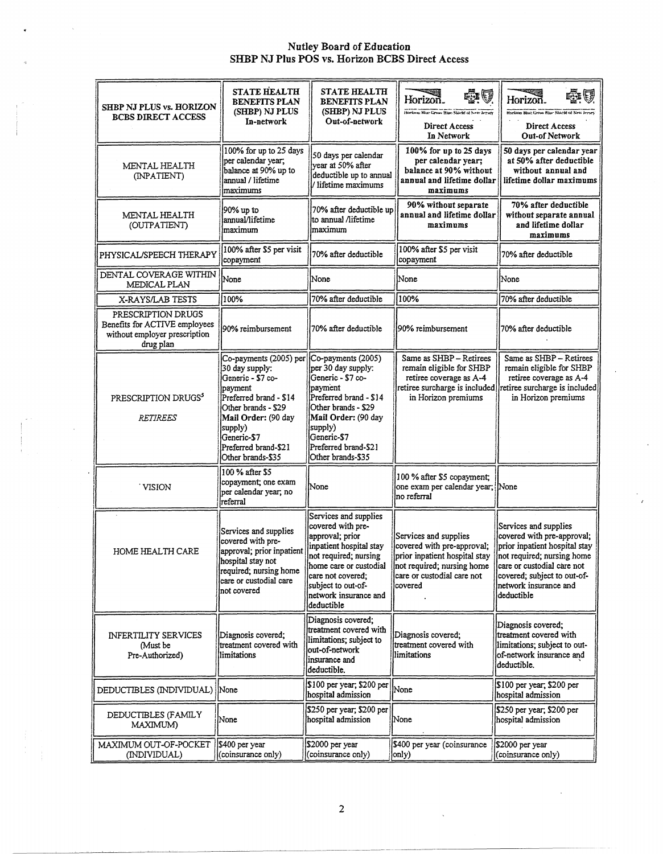# Nutley Board of Education<br>SHBP NJ Plus POS vs. Horizon BCBS Direct Access

| <b>SHBP NJ PLUS vs. HORIZON</b><br><b>BCBS DIRECT ACCESS</b>                                      | <b>STATE HEALTH</b><br><b>BENEFITS PLAN</b><br>(SHBP) NJ PLUS<br>In-network                                                                                                                                             | <b>STATE HEALTH</b><br><b>BENEFITS PLAN</b><br>(SHBP) NJ PLUS<br>Out-of-network                                                                                                                                               | Ū<br>Horizon.<br>Horizon Blue Gross Shoe Stockt of New Jersey<br>Direct Access<br>In Network                                                                | Horizon.<br>Highzon Blue Green Blue Stackt of New Jersey<br>Direct Access<br>Out-of Network                                                                                                                            |
|---------------------------------------------------------------------------------------------------|-------------------------------------------------------------------------------------------------------------------------------------------------------------------------------------------------------------------------|-------------------------------------------------------------------------------------------------------------------------------------------------------------------------------------------------------------------------------|-------------------------------------------------------------------------------------------------------------------------------------------------------------|------------------------------------------------------------------------------------------------------------------------------------------------------------------------------------------------------------------------|
| MENTAL HEALTH<br>(INPATIENT)                                                                      | 100% for up to 25 days<br>per calendar year,<br>balance at 90% up to<br>annual / lifetime<br>maximums                                                                                                                   | 50 days per calendar<br>vear at 50% after<br>deductible up to annual<br>l/ lifetime maximums                                                                                                                                  | 100% for up to 25 days<br>per calendar year;<br>balance at 90% without<br>annual and lifetime dollar<br>maximums                                            | 50 days per calendar year<br>at 50% after deductible<br>without annual and<br>l lifetime dollar maximums                                                                                                               |
| MENTAL HEALTH<br>(OUTPATIENT)                                                                     | 90% up to<br>annual/lifetime<br>Imaximum                                                                                                                                                                                | 70% after deductible up<br>lto annual /lifetime<br>maximum                                                                                                                                                                    | 90% without separate<br>annual and lifetime dollar<br>maximums                                                                                              | 70% after deductible<br>without separate annual<br>and lifetime dollar<br>maximums                                                                                                                                     |
| PHYSICAL/SPEECH THERAPY                                                                           | 100% after \$5 per visit<br>copayment                                                                                                                                                                                   | 70% after deductible                                                                                                                                                                                                          | 100% after \$5 per visit<br>copayment                                                                                                                       | 70% after deductible                                                                                                                                                                                                   |
| DENTAL COVERAGE WITHIN<br>MEDICAL PLAN                                                            | None                                                                                                                                                                                                                    | None                                                                                                                                                                                                                          | None                                                                                                                                                        | None                                                                                                                                                                                                                   |
| X-RAYS/LAB TESTS                                                                                  | 100%                                                                                                                                                                                                                    | 70% after deductible                                                                                                                                                                                                          | 100%                                                                                                                                                        | 70% after deductible                                                                                                                                                                                                   |
| PRESCRIPTION DRUGS<br>Benefits for ACTIVE employees<br>without employer prescription<br>drug plan | 90% reimbursement                                                                                                                                                                                                       | 70% after deductible                                                                                                                                                                                                          | 90% reimbursement                                                                                                                                           | 70% after deductible                                                                                                                                                                                                   |
| PRESCRIPTION DRUGS <sup>5</sup><br><b>RETIREES</b>                                                | Co-payments (2005) per<br>30 day supply:<br>Generic - \$7 co-<br>payment<br>Preferred brand - \$14<br>Other brands - \$29<br>Mail Order: (90 day<br>supply)<br>Generic-\$7<br>Preferred brand-\$21<br>Other brands-\$35 | Co-payments (2005)<br>per 30 day supply:<br>Generic - \$7 co-<br>payment<br>Preferred brand - \$14<br>Other brands - \$29<br>Mail Order: (90 day<br>supply)<br>Generic-\$7<br>Preferred brand-\$21<br>Other brands-\$35       | Same as SHBP - Retirees<br>remain eligible for SHBP<br>retiree coverage as A-4<br>retiree surcharge is included<br>in Horizon premiums                      | Same as SHBP - Retirees<br>remain eligible for SHBP<br>retiree coverage as A-4<br>retiree surcharge is included<br>in Horizon premiums                                                                                 |
| <b>VISION</b>                                                                                     | 100 % after \$5<br>copayment; one exam<br>per calendar year, no<br>referral                                                                                                                                             | None                                                                                                                                                                                                                          | 100 % after \$5 copayment;<br>one exam per calendar year; None<br>no referral                                                                               |                                                                                                                                                                                                                        |
| HOME HEALTH CARE                                                                                  | Services and supplies<br>covered with pre-<br>approval; prior inpatient<br>hospital stay not<br>required; nursing home<br>care or custodial care<br>not covered                                                         | Services and supplies<br>covered with pre-<br>approval; prior<br>inpatient hospital stay<br>not required; nursing<br>home care or custodial<br>care not covered:<br>subject to out-of-<br>network insurance and<br>deductible | Services and supplies<br>covered with pre-approval;<br>prior inpatient hospital stay<br>not required; nursing home<br>care or custodial care not<br>covered | Services and supplies<br>covered with pre-approval;<br>prior inpatient hospital stay<br>not required; nursing home<br>care or custodial care not<br>covered; subject to out-of-<br>network insurance and<br>deductible |
| <b>INFERTILITY SERVICES</b><br>Must be<br>Pre-Authorized)                                         | Diagnosis covered;<br>treatment covered with<br>limitations                                                                                                                                                             | Diagnosis covered;<br>treatment covered with<br>limitations; subject to<br>out-of-network<br>insurance and<br>deductible.                                                                                                     | Diagnosis covered;<br>treatment covered with<br>limitations                                                                                                 | Diagnosis covered;<br>treatment covered with<br>limitations; subject to out-<br>of-network insurance and<br>deductible.                                                                                                |
| DEDUCTIBLES (INDIVIDUAL) None                                                                     |                                                                                                                                                                                                                         | \$100 per year; \$200 per<br>hospital admission                                                                                                                                                                               | None                                                                                                                                                        | \$100 per year; \$200 per<br>hospital admission                                                                                                                                                                        |
| DEDUCTIBLES (FAMILY<br>MAXIMUM)                                                                   | None                                                                                                                                                                                                                    | \$250 per year; \$200 per <br>hospital admission                                                                                                                                                                              | None                                                                                                                                                        | \$250 per year; \$200 per<br>hospital admission                                                                                                                                                                        |
| MAXIMUM OUT-OF-POCKET<br>(INDIVIDUAL)                                                             | \$400 per year<br>(coinsurance only)                                                                                                                                                                                    | \$2000 per year<br>(coinsurance only)                                                                                                                                                                                         | \$400 per year (coinsurance<br>only)                                                                                                                        | \$2000 per year<br>(coinsurance only)                                                                                                                                                                                  |

 $\sim$   $\epsilon$